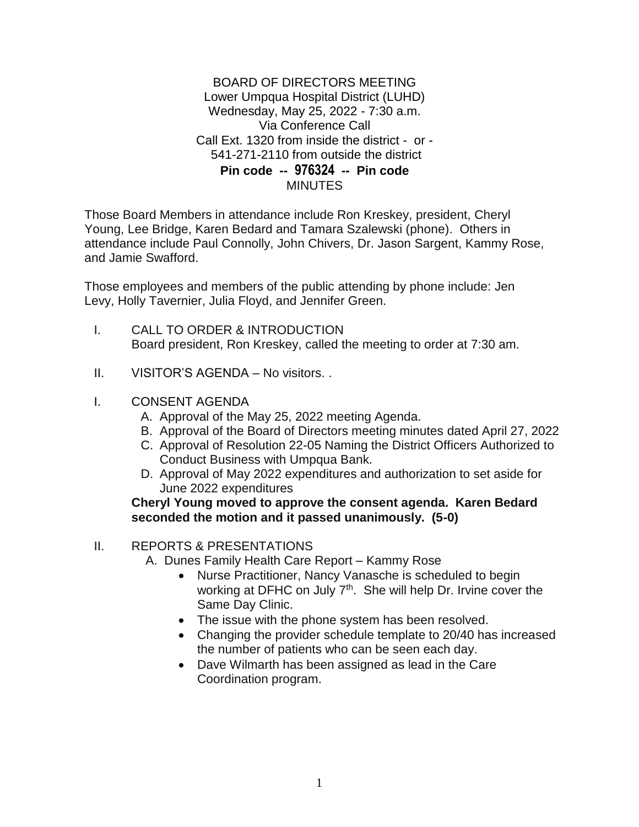## BOARD OF DIRECTORS MEETING Lower Umpqua Hospital District (LUHD) Wednesday, May 25, 2022 - 7:30 a.m. Via Conference Call Call Ext. 1320 from inside the district - or - 541-271-2110 from outside the district **Pin code -- 976324 -- Pin code MINUTES**

Those Board Members in attendance include Ron Kreskey, president, Cheryl Young, Lee Bridge, Karen Bedard and Tamara Szalewski (phone). Others in attendance include Paul Connolly, John Chivers, Dr. Jason Sargent, Kammy Rose, and Jamie Swafford.

Those employees and members of the public attending by phone include: Jen Levy, Holly Tavernier, Julia Floyd, and Jennifer Green.

- I. CALL TO ORDER & INTRODUCTION Board president, Ron Kreskey, called the meeting to order at 7:30 am.
- II. VISITOR'S AGENDA No visitors. .
- I. CONSENT AGENDA
	- A. Approval of the May 25, 2022 meeting Agenda.
	- B. Approval of the Board of Directors meeting minutes dated April 27, 2022
	- C. Approval of Resolution 22-05 Naming the District Officers Authorized to Conduct Business with Umpqua Bank.
	- D. Approval of May 2022 expenditures and authorization to set aside for June 2022 expenditures

## **Cheryl Young moved to approve the consent agenda. Karen Bedard seconded the motion and it passed unanimously. (5-0)**

- II. REPORTS & PRESENTATIONS
	- A. Dunes Family Health Care Report Kammy Rose
		- Nurse Practitioner, Nancy Vanasche is scheduled to begin working at DFHC on July 7<sup>th</sup>. She will help Dr. Irvine cover the Same Day Clinic.
		- The issue with the phone system has been resolved.
		- Changing the provider schedule template to 20/40 has increased the number of patients who can be seen each day.
		- Dave Wilmarth has been assigned as lead in the Care Coordination program.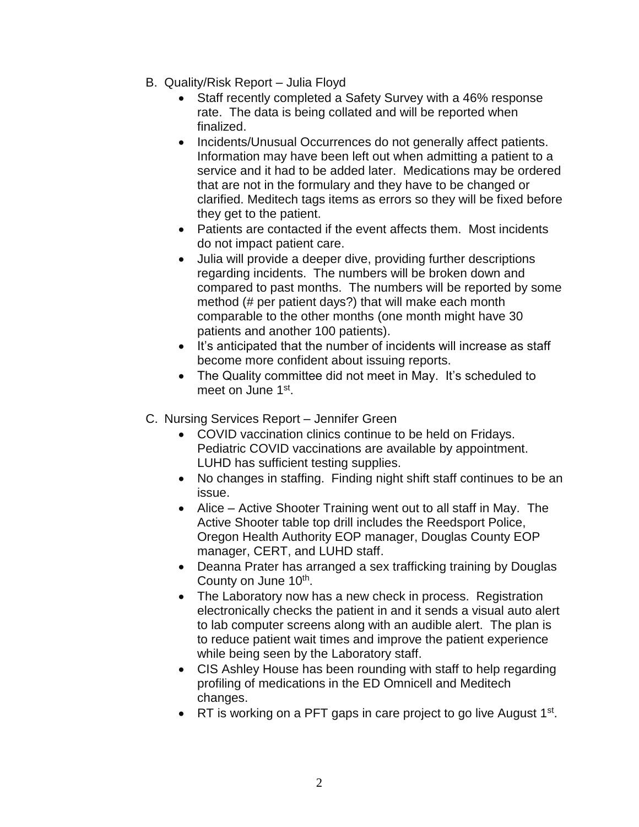- B. Quality/Risk Report Julia Floyd
	- Staff recently completed a Safety Survey with a 46% response rate. The data is being collated and will be reported when finalized.
	- Incidents/Unusual Occurrences do not generally affect patients. Information may have been left out when admitting a patient to a service and it had to be added later. Medications may be ordered that are not in the formulary and they have to be changed or clarified. Meditech tags items as errors so they will be fixed before they get to the patient.
	- Patients are contacted if the event affects them. Most incidents do not impact patient care.
	- Julia will provide a deeper dive, providing further descriptions regarding incidents. The numbers will be broken down and compared to past months. The numbers will be reported by some method (# per patient days?) that will make each month comparable to the other months (one month might have 30 patients and another 100 patients).
	- It's anticipated that the number of incidents will increase as staff become more confident about issuing reports.
	- The Quality committee did not meet in May. It's scheduled to meet on June 1st.
- C. Nursing Services Report Jennifer Green
	- COVID vaccination clinics continue to be held on Fridays. Pediatric COVID vaccinations are available by appointment. LUHD has sufficient testing supplies.
	- No changes in staffing. Finding night shift staff continues to be an issue.
	- Alice Active Shooter Training went out to all staff in May. The Active Shooter table top drill includes the Reedsport Police, Oregon Health Authority EOP manager, Douglas County EOP manager, CERT, and LUHD staff.
	- Deanna Prater has arranged a sex trafficking training by Douglas County on June 10<sup>th</sup>.
	- The Laboratory now has a new check in process. Registration electronically checks the patient in and it sends a visual auto alert to lab computer screens along with an audible alert. The plan is to reduce patient wait times and improve the patient experience while being seen by the Laboratory staff.
	- CIS Ashley House has been rounding with staff to help regarding profiling of medications in the ED Omnicell and Meditech changes.
	- RT is working on a PFT gaps in care project to go live August  $1<sup>st</sup>$ .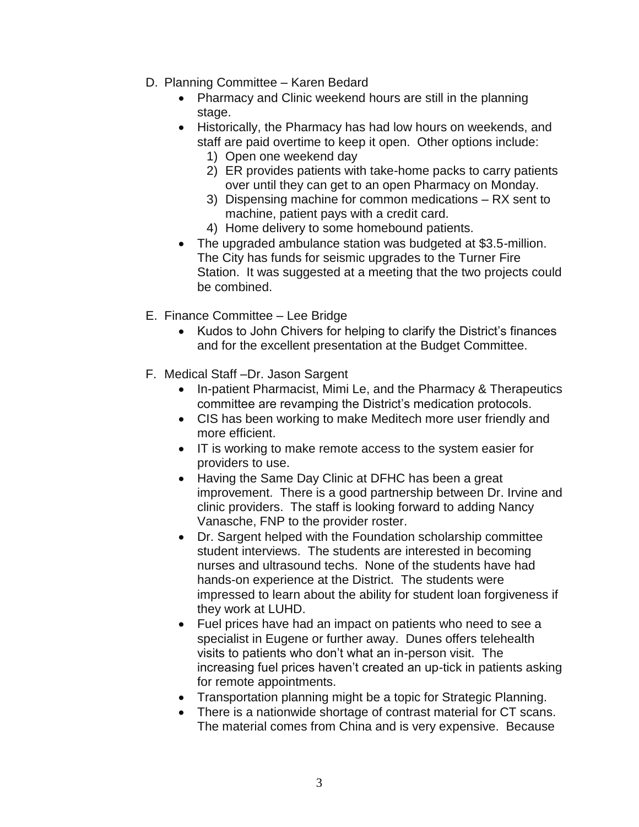- D. Planning Committee Karen Bedard
	- Pharmacy and Clinic weekend hours are still in the planning stage.
	- Historically, the Pharmacy has had low hours on weekends, and staff are paid overtime to keep it open. Other options include:
		- 1) Open one weekend day
		- 2) ER provides patients with take-home packs to carry patients over until they can get to an open Pharmacy on Monday.
		- 3) Dispensing machine for common medications RX sent to machine, patient pays with a credit card.
		- 4) Home delivery to some homebound patients.
	- The upgraded ambulance station was budgeted at \$3.5-million. The City has funds for seismic upgrades to the Turner Fire Station. It was suggested at a meeting that the two projects could be combined.
- E. Finance Committee Lee Bridge
	- Kudos to John Chivers for helping to clarify the District's finances and for the excellent presentation at the Budget Committee.
- F. Medical Staff –Dr. Jason Sargent
	- In-patient Pharmacist, Mimi Le, and the Pharmacy & Therapeutics committee are revamping the District's medication protocols.
	- CIS has been working to make Meditech more user friendly and more efficient.
	- IT is working to make remote access to the system easier for providers to use.
	- Having the Same Day Clinic at DFHC has been a great improvement. There is a good partnership between Dr. Irvine and clinic providers. The staff is looking forward to adding Nancy Vanasche, FNP to the provider roster.
	- Dr. Sargent helped with the Foundation scholarship committee student interviews. The students are interested in becoming nurses and ultrasound techs. None of the students have had hands-on experience at the District. The students were impressed to learn about the ability for student loan forgiveness if they work at LUHD.
	- Fuel prices have had an impact on patients who need to see a specialist in Eugene or further away. Dunes offers telehealth visits to patients who don't what an in-person visit. The increasing fuel prices haven't created an up-tick in patients asking for remote appointments.
	- Transportation planning might be a topic for Strategic Planning.
	- There is a nationwide shortage of contrast material for CT scans. The material comes from China and is very expensive. Because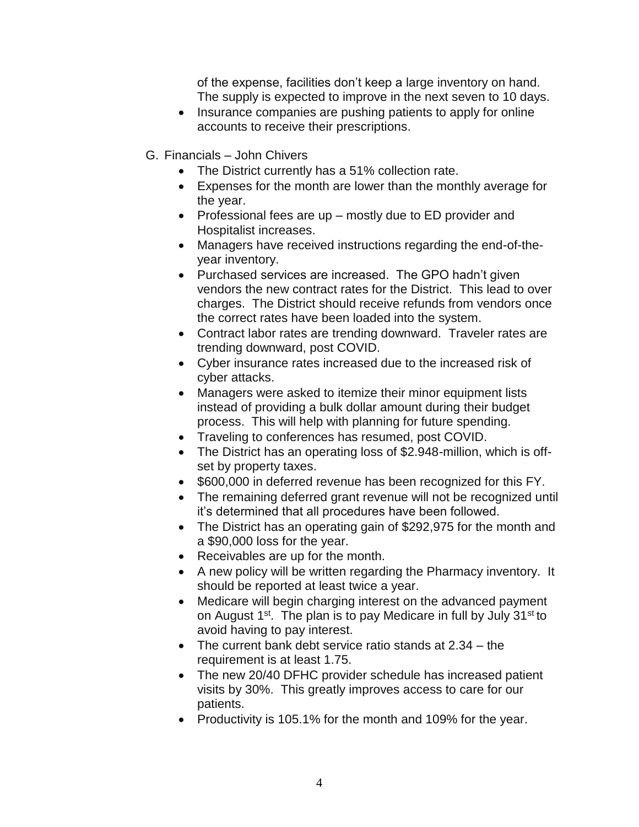of the expense, facilities don't keep a large inventory on hand. The supply is expected to improve in the next seven to 10 days.

- Insurance companies are pushing patients to apply for online accounts to receive their prescriptions.
- G. Financials John Chivers
	- The District currently has a 51% collection rate.
	- Expenses for the month are lower than the monthly average for the year.
	- $\bullet$  Professional fees are up mostly due to ED provider and Hospitalist increases.
	- Managers have received instructions regarding the end-of-theyear inventory.
	- Purchased services are increased. The GPO hadn't given vendors the new contract rates for the District. This lead to over charges. The District should receive refunds from vendors once the correct rates have been loaded into the system.
	- Contract labor rates are trending downward. Traveler rates are trending downward, post COVID.
	- Cyber insurance rates increased due to the increased risk of cyber attacks.
	- Managers were asked to itemize their minor equipment lists instead of providing a bulk dollar amount during their budget process. This will help with planning for future spending.
	- Traveling to conferences has resumed, post COVID.
	- The District has an operating loss of \$2.948-million, which is offset by property taxes.
	- \$600,000 in deferred revenue has been recognized for this FY.
	- The remaining deferred grant revenue will not be recognized until it's determined that all procedures have been followed.
	- The District has an operating gain of \$292,975 for the month and a \$90,000 loss for the year.
	- Receivables are up for the month.
	- A new policy will be written regarding the Pharmacy inventory. It should be reported at least twice a year.
	- Medicare will begin charging interest on the advanced payment on August  $1^{st}$ . The plan is to pay Medicare in full by July  $31^{st}$  to avoid having to pay interest.
	- The current bank debt service ratio stands at 2.34 the requirement is at least 1.75.
	- The new 20/40 DFHC provider schedule has increased patient visits by 30%. This greatly improves access to care for our patients.
	- Productivity is 105.1% for the month and 109% for the year.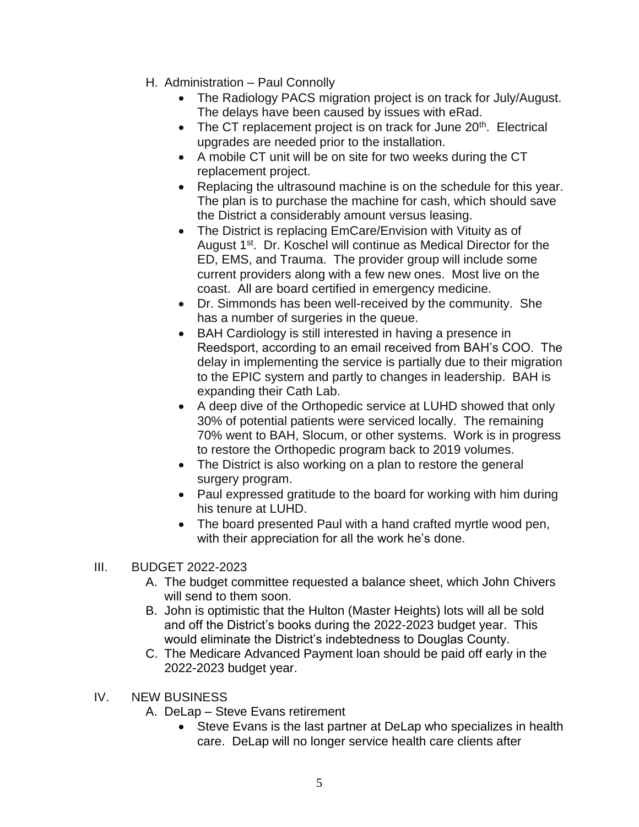- H. Administration Paul Connolly
	- The Radiology PACS migration project is on track for July/August. The delays have been caused by issues with eRad.
	- $\bullet$  The CT replacement project is on track for June 20<sup>th</sup>. Electrical upgrades are needed prior to the installation.
	- A mobile CT unit will be on site for two weeks during the CT replacement project.
	- Replacing the ultrasound machine is on the schedule for this year. The plan is to purchase the machine for cash, which should save the District a considerably amount versus leasing.
	- The District is replacing EmCare/Envision with Vituity as of August 1<sup>st</sup>. Dr. Koschel will continue as Medical Director for the ED, EMS, and Trauma. The provider group will include some current providers along with a few new ones. Most live on the coast. All are board certified in emergency medicine.
	- Dr. Simmonds has been well-received by the community. She has a number of surgeries in the queue.
	- BAH Cardiology is still interested in having a presence in Reedsport, according to an email received from BAH's COO. The delay in implementing the service is partially due to their migration to the EPIC system and partly to changes in leadership. BAH is expanding their Cath Lab.
	- A deep dive of the Orthopedic service at LUHD showed that only 30% of potential patients were serviced locally. The remaining 70% went to BAH, Slocum, or other systems. Work is in progress to restore the Orthopedic program back to 2019 volumes.
	- The District is also working on a plan to restore the general surgery program.
	- Paul expressed gratitude to the board for working with him during his tenure at LUHD.
	- The board presented Paul with a hand crafted myrtle wood pen, with their appreciation for all the work he's done.

## III. BUDGET 2022-2023

- A. The budget committee requested a balance sheet, which John Chivers will send to them soon.
- B. John is optimistic that the Hulton (Master Heights) lots will all be sold and off the District's books during the 2022-2023 budget year. This would eliminate the District's indebtedness to Douglas County.
- C. The Medicare Advanced Payment loan should be paid off early in the 2022-2023 budget year.
- IV. NEW BUSINESS
	- A. DeLap Steve Evans retirement
		- Steve Evans is the last partner at DeLap who specializes in health care. DeLap will no longer service health care clients after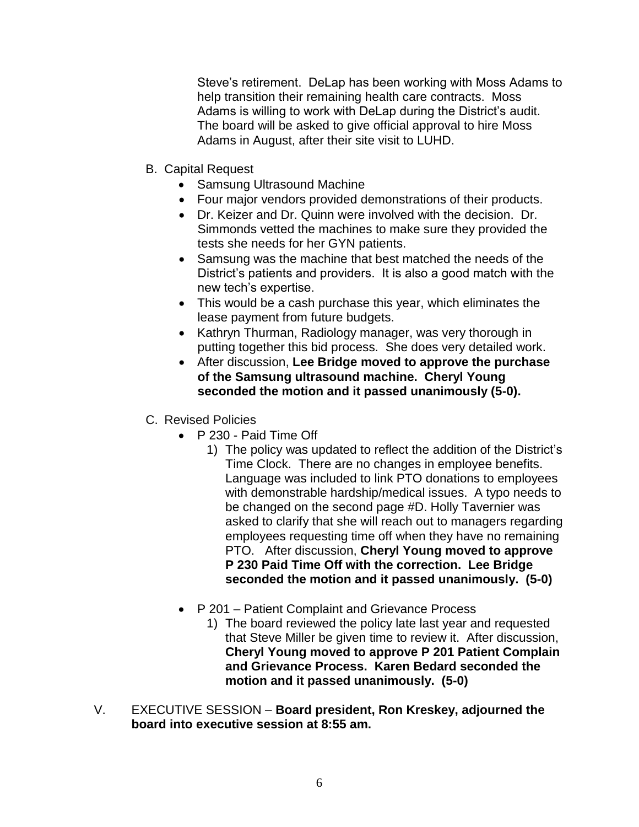Steve's retirement. DeLap has been working with Moss Adams to help transition their remaining health care contracts. Moss Adams is willing to work with DeLap during the District's audit. The board will be asked to give official approval to hire Moss Adams in August, after their site visit to LUHD.

- B. Capital Request
	- Samsung Ultrasound Machine
	- Four major vendors provided demonstrations of their products.
	- Dr. Keizer and Dr. Quinn were involved with the decision. Dr. Simmonds vetted the machines to make sure they provided the tests she needs for her GYN patients.
	- Samsung was the machine that best matched the needs of the District's patients and providers. It is also a good match with the new tech's expertise.
	- This would be a cash purchase this year, which eliminates the lease payment from future budgets.
	- Kathryn Thurman, Radiology manager, was very thorough in putting together this bid process. She does very detailed work.
	- After discussion, **Lee Bridge moved to approve the purchase of the Samsung ultrasound machine. Cheryl Young seconded the motion and it passed unanimously (5-0).**
- C. Revised Policies
	- P 230 Paid Time Off
		- 1) The policy was updated to reflect the addition of the District's Time Clock. There are no changes in employee benefits. Language was included to link PTO donations to employees with demonstrable hardship/medical issues. A typo needs to be changed on the second page #D. Holly Tavernier was asked to clarify that she will reach out to managers regarding employees requesting time off when they have no remaining PTO. After discussion, **Cheryl Young moved to approve P 230 Paid Time Off with the correction. Lee Bridge seconded the motion and it passed unanimously. (5-0)**
	- P 201 Patient Complaint and Grievance Process
		- 1) The board reviewed the policy late last year and requested that Steve Miller be given time to review it. After discussion, **Cheryl Young moved to approve P 201 Patient Complain and Grievance Process. Karen Bedard seconded the motion and it passed unanimously. (5-0)**
- V. EXECUTIVE SESSION **Board president, Ron Kreskey, adjourned the board into executive session at 8:55 am.**